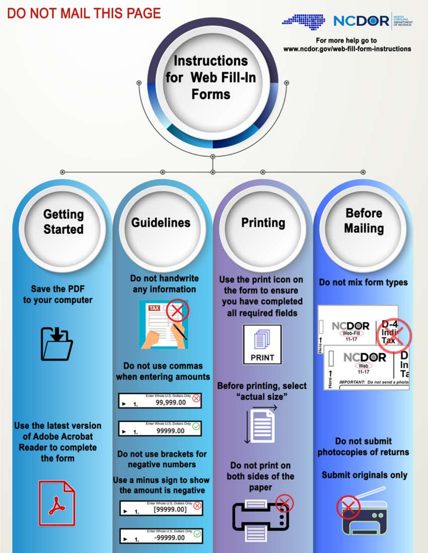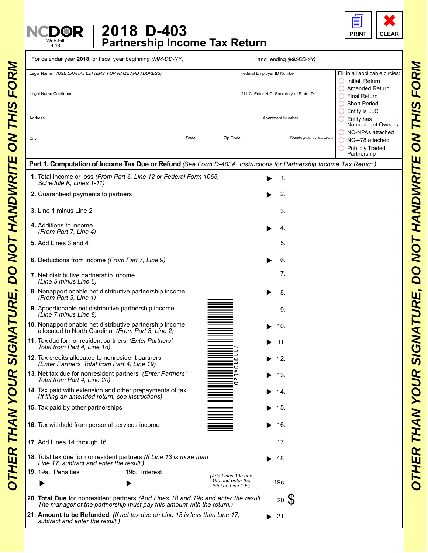



| For calendar year 2018, or fiscal year beginning (MM-DD-YY)                                                                                                                               |                                                               | and ending (MM-DD-YY)                                                  |                                                                                                                          |
|-------------------------------------------------------------------------------------------------------------------------------------------------------------------------------------------|---------------------------------------------------------------|------------------------------------------------------------------------|--------------------------------------------------------------------------------------------------------------------------|
| Legal Name (USE CAPITAL LETTERS FOR NAME AND ADDRESS)<br>Legal Name Continued                                                                                                             |                                                               | Federal Employer ID Number<br>If LLC, Enter N.C. Secretary of State ID | Fill in all applicable circles:<br>$\bigcirc$ Initial Return<br>Amended Return<br><b>Final Return</b><br>◯ Short Period  |
| Address<br>City                                                                                                                                                                           | State<br>Zip Code                                             | <b>Apartment Number</b><br>County (Enter first five letters)           | Entity is LLC<br>$\bigcirc$ Entity has<br>Nonresident Owners<br>$\bigcap$ NC-NPAs attached<br>$\bigcirc$ NC-478 attached |
|                                                                                                                                                                                           |                                                               |                                                                        | O Publicly Traded<br>Partnership                                                                                         |
| Part 1. Computation of Income Tax Due or Refund (See Form D-403A, Instructions for Partnership Income Tax Return.)<br>1. Total income or loss (From Part 6, Line 12 or Federal Form 1065, |                                                               | 1.                                                                     |                                                                                                                          |
| Schedule K, Lines 1-11)                                                                                                                                                                   |                                                               |                                                                        |                                                                                                                          |
| 2. Guaranteed payments to partners                                                                                                                                                        |                                                               | 2.                                                                     |                                                                                                                          |
| 3. Line 1 minus Line 2                                                                                                                                                                    |                                                               | 3.                                                                     |                                                                                                                          |
| 4. Additions to income<br>(From Part 7, Line 4)                                                                                                                                           |                                                               | 4.                                                                     |                                                                                                                          |
| 5. Add Lines 3 and 4                                                                                                                                                                      |                                                               | 5.                                                                     |                                                                                                                          |
| 6. Deductions from income (From Part 7, Line 9)                                                                                                                                           |                                                               | 6.                                                                     |                                                                                                                          |
| 7. Net distributive partnership income<br>(Line 5 minus Line 6)                                                                                                                           |                                                               | 7.                                                                     |                                                                                                                          |
| 8. Nonapportionable net distributive partnership income<br>(From Part 3, Line 1)                                                                                                          |                                                               | 8.                                                                     |                                                                                                                          |
| 9. Apportionable net distributive partnership income<br>(Line 7 minus Line 8)                                                                                                             |                                                               | 9.                                                                     |                                                                                                                          |
| 10. Nonapportionable net distributive partnership income<br>allocated to North Carolina (From Part 3, Line 2)                                                                             |                                                               | 10.                                                                    |                                                                                                                          |
| 11. Tax due for nonresident partners (Enter Partners'<br>Total from Part 4, Line 18)                                                                                                      |                                                               | 11.                                                                    |                                                                                                                          |
| 12. Tax credits allocated to nonresident partners<br>(Enter Partners' Total from Part 4, Line 19)                                                                                         | 0                                                             | 12.                                                                    |                                                                                                                          |
| 13. Net tax due for nonresident partners (Enter Partners'<br>Total from Part 4, Line 20)                                                                                                  | 0                                                             | 13.                                                                    |                                                                                                                          |
| 14. Tax paid with extension and other prepayments of tax<br>(If filing an amended return, see instructions)                                                                               |                                                               | 14.                                                                    |                                                                                                                          |
| 15. Tax paid by other partnerships                                                                                                                                                        |                                                               | 15.                                                                    |                                                                                                                          |
| 16. Tax withheld from personal services income                                                                                                                                            |                                                               | 16.                                                                    |                                                                                                                          |
| 17. Add Lines 14 through 16                                                                                                                                                               |                                                               | 17.                                                                    |                                                                                                                          |
| 18. Total tax due for nonresident partners (If Line 13 is more than                                                                                                                       |                                                               | 18.                                                                    |                                                                                                                          |
| Line 17, subtract and enter the result.)<br>19. 19a. Penalties<br>19b. Interest                                                                                                           |                                                               |                                                                        |                                                                                                                          |
|                                                                                                                                                                                           | (Add Lines 19a and<br>19b and enter the<br>total on Line 19c) | 19c.                                                                   |                                                                                                                          |
| 20. Total Due for nonresident partners (Add Lines 18 and 19c and enter the result.<br>The manager of the partnership must pay this amount with the return.)                               |                                                               | 20.5                                                                   |                                                                                                                          |
| 21. Amount to be Refunded (If net tax due on Line 13 is less than Line 17,                                                                                                                |                                                               | $\blacktriangleright$ 21.                                              |                                                                                                                          |

Web-Fill 9-18

N<sup></sup>

*subtract and enter the result.)*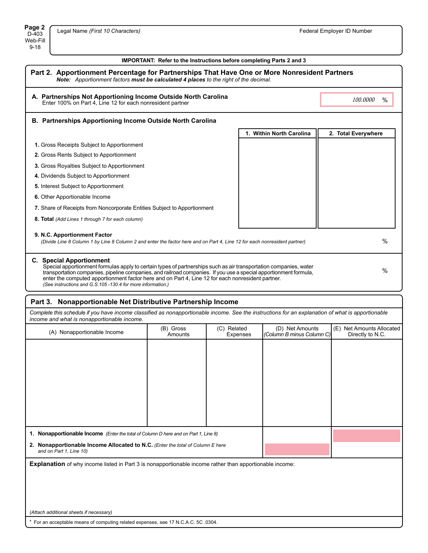## **IMPORTANT: Refer to the Instructions before completing Parts 2 and 3**

| Part 2. Apportionment Percentage for Partnerships That Have One or More Nonresident Partners<br>Note: Apportionment factors must be calculated 4 places to the right of the decimal.                                                                                                                                                                                                                                                          |                          |                     |  |  |
|-----------------------------------------------------------------------------------------------------------------------------------------------------------------------------------------------------------------------------------------------------------------------------------------------------------------------------------------------------------------------------------------------------------------------------------------------|--------------------------|---------------------|--|--|
| A. Partnerships Not Apportioning Income Outside North Carolina<br>Enter 100% on Part 4, Line 12 for each nonresident partner                                                                                                                                                                                                                                                                                                                  |                          | 100,0000<br>$\%$    |  |  |
| B. Partnerships Apportioning Income Outside North Carolina                                                                                                                                                                                                                                                                                                                                                                                    |                          |                     |  |  |
|                                                                                                                                                                                                                                                                                                                                                                                                                                               | 1. Within North Carolina | 2. Total Everywhere |  |  |
| 1. Gross Receipts Subject to Apportionment                                                                                                                                                                                                                                                                                                                                                                                                    |                          |                     |  |  |
| 2. Gross Rents Subject to Apportionment                                                                                                                                                                                                                                                                                                                                                                                                       |                          |                     |  |  |
| 3. Gross Royalties Subject to Apportionment                                                                                                                                                                                                                                                                                                                                                                                                   |                          |                     |  |  |
| 4. Dividends Subject to Apportionment                                                                                                                                                                                                                                                                                                                                                                                                         |                          |                     |  |  |
| <b>5.</b> Interest Subject to Apportionment                                                                                                                                                                                                                                                                                                                                                                                                   |                          |                     |  |  |
| 6. Other Apportionable Income                                                                                                                                                                                                                                                                                                                                                                                                                 |                          |                     |  |  |
| 7. Share of Receipts from Noncorporate Entities Subject to Apportionment                                                                                                                                                                                                                                                                                                                                                                      |                          |                     |  |  |
| 8. Total (Add Lines 1 through 7 for each column)                                                                                                                                                                                                                                                                                                                                                                                              |                          |                     |  |  |
| 9. N.C. Apportionment Factor<br>(Divide Line 8 Column 1 by Line 8 Column 2 and enter the factor here and on Part 4, Line 12 for each nonresident partner)                                                                                                                                                                                                                                                                                     | $\%$                     |                     |  |  |
| <b>C.</b> Special Apportionment<br>Special apportionment formulas apply to certain types of partnerships such as air transportation companies, water<br>transportation companies, pipeline companies, and railroad companies. If you use a special apportionment formula,<br>enter the computed apportionment factor here and on Part 4, Line 12 for each nonresident partner.<br>(See instructions and G.S.105 -130.4 for more information.) | $\%$                     |                     |  |  |

## **Part 3. Nonapportionable Net Distributive Partnership Income**

*Complete this schedule if you have income classified as nonapportionable income. See the instructions for an explanation of what is apportionable income and what is nonapportionable income.*

| <i>modrie and write is nonapportionable income.</i>                                                            |                      |                         |                                              |                                               |  |
|----------------------------------------------------------------------------------------------------------------|----------------------|-------------------------|----------------------------------------------|-----------------------------------------------|--|
| (A) Nonapportionable Income                                                                                    | (B) Gross<br>Amounts | (C) Related<br>Expenses | (D) Net Amounts<br>(Column B minus Column C) | (E) Net Amounts Allocated<br>Directly to N.C. |  |
|                                                                                                                |                      |                         |                                              |                                               |  |
|                                                                                                                |                      |                         |                                              |                                               |  |
|                                                                                                                |                      |                         |                                              |                                               |  |
|                                                                                                                |                      |                         |                                              |                                               |  |
|                                                                                                                |                      |                         |                                              |                                               |  |
|                                                                                                                |                      |                         |                                              |                                               |  |
| 1. Nonapportionable Income (Enter the total of Column D here and on Part 1, Line 8)                            |                      |                         |                                              |                                               |  |
| 2. Nonapportionable Income Allocated to N.C. (Enter the total of Column E here<br>and on Part 1, Line 10)      |                      |                         |                                              |                                               |  |
| <b>Explanation</b> of why income listed in Part 3 is nonapportionable income rather than apportionable income: |                      |                         |                                              |                                               |  |
|                                                                                                                |                      |                         |                                              |                                               |  |
|                                                                                                                |                      |                         |                                              |                                               |  |
| (Attach additional sheets if necessary)                                                                        |                      |                         |                                              |                                               |  |

\* For an acceptable means of computing related expenses, see 17 N.C.A.C. 5C .0304.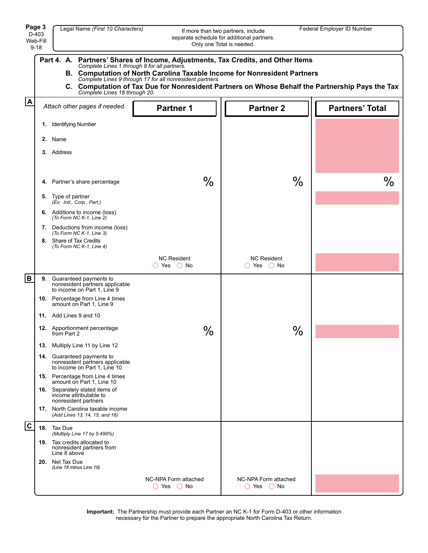|                  | Page 3<br>Legal Name (First 10 Characters)<br>Federal Employer ID Number<br>If more than two partners, include<br>D-403<br>separate schedule for additional partners.<br>Web-Fill<br>Only one Total is needed.<br>$9 - 18$                                                                                                                                                                                       |                                                                                               |                                      |                                    |                        |  |
|------------------|------------------------------------------------------------------------------------------------------------------------------------------------------------------------------------------------------------------------------------------------------------------------------------------------------------------------------------------------------------------------------------------------------------------|-----------------------------------------------------------------------------------------------|--------------------------------------|------------------------------------|------------------------|--|
|                  | Partners' Shares of Income, Adjustments, Tax Credits, and Other Items<br>Part 4. A.<br>Complete Lines 1 through 8 for all partners.<br>B. Computation of North Carolina Taxable Income for Nonresident Partners<br>Complete Lines 9 through 17 for all nonresident partners.<br>C. Computation of Tax Due for Nonresident Partners on Whose Behalf the Partnership Pays the Tax<br>Complete Lines 18 through 20. |                                                                                               |                                      |                                    |                        |  |
| $\blacktriangle$ |                                                                                                                                                                                                                                                                                                                                                                                                                  | Attach other pages if needed.                                                                 | <b>Partner 1</b>                     | <b>Partner 2</b>                   | <b>Partners' Total</b> |  |
|                  | 1.                                                                                                                                                                                                                                                                                                                                                                                                               | <b>Identifying Number</b>                                                                     |                                      |                                    |                        |  |
|                  |                                                                                                                                                                                                                                                                                                                                                                                                                  | 2. Name                                                                                       |                                      |                                    |                        |  |
|                  |                                                                                                                                                                                                                                                                                                                                                                                                                  | 3. Address                                                                                    |                                      |                                    |                        |  |
|                  | 4.                                                                                                                                                                                                                                                                                                                                                                                                               | Partner's share percentage                                                                    | $\%$                                 | $\frac{0}{0}$                      | $\frac{0}{0}$          |  |
|                  | 5.                                                                                                                                                                                                                                                                                                                                                                                                               | Type of partner<br>(Ex: Ind., Corp., Part.)                                                   |                                      |                                    |                        |  |
|                  |                                                                                                                                                                                                                                                                                                                                                                                                                  | <b>6.</b> Additions to income (loss)<br>(To Form NC K-1, Line 2)                              |                                      |                                    |                        |  |
|                  |                                                                                                                                                                                                                                                                                                                                                                                                                  | 7. Deductions from income (loss)<br>(To Form NC K-1, Line 3)                                  |                                      |                                    |                        |  |
|                  |                                                                                                                                                                                                                                                                                                                                                                                                                  | 8. Share of Tax Credits<br>(To Form NC K-1, Line 4)                                           |                                      |                                    |                        |  |
|                  |                                                                                                                                                                                                                                                                                                                                                                                                                  |                                                                                               | <b>NC Resident</b><br>$O$ Yes $O$ No | <b>NC Resident</b><br>◯ Yes ◯ No   |                        |  |
| lв               | 9.                                                                                                                                                                                                                                                                                                                                                                                                               | Guaranteed payments to<br>nonresident partners applicable<br>to income on Part 1, Line 9      |                                      |                                    |                        |  |
|                  |                                                                                                                                                                                                                                                                                                                                                                                                                  | 10. Percentage from Line 4 times<br>amount on Part 1, Line 9                                  |                                      |                                    |                        |  |
|                  |                                                                                                                                                                                                                                                                                                                                                                                                                  | 11. Add Lines 9 and 10                                                                        |                                      |                                    |                        |  |
|                  |                                                                                                                                                                                                                                                                                                                                                                                                                  | 12. Apportionment percentage<br>from Part 2                                                   | $\%$                                 | $\%$                               |                        |  |
|                  |                                                                                                                                                                                                                                                                                                                                                                                                                  | 13. Multiply Line 11 by Line 12                                                               |                                      |                                    |                        |  |
|                  |                                                                                                                                                                                                                                                                                                                                                                                                                  | 14. Guaranteed payments to<br>nonresident partners applicable<br>to income on Part 1, Line 10 |                                      |                                    |                        |  |
|                  |                                                                                                                                                                                                                                                                                                                                                                                                                  | <b>15.</b> Percentage from Line 4 times<br>amount on Part 1, Line 10                          |                                      |                                    |                        |  |
|                  |                                                                                                                                                                                                                                                                                                                                                                                                                  | 16. Separately stated items of<br>income attributable to<br>nonresident partners              |                                      |                                    |                        |  |
|                  |                                                                                                                                                                                                                                                                                                                                                                                                                  | 17. North Carolina taxable income<br>(Add Lines 13, 14, 15, and 16)                           |                                      |                                    |                        |  |
| $ {\bf c} $      |                                                                                                                                                                                                                                                                                                                                                                                                                  | 18. Tax Due<br>(Multiply Line 17 by 5.499%)                                                   |                                      |                                    |                        |  |
|                  |                                                                                                                                                                                                                                                                                                                                                                                                                  | 19. Tax credits allocated to<br>nonresident partners from<br>Line 8 above                     |                                      |                                    |                        |  |
|                  |                                                                                                                                                                                                                                                                                                                                                                                                                  | 20. Net Tax Due<br>(Line 18 minus Line 19)                                                    |                                      |                                    |                        |  |
|                  |                                                                                                                                                                                                                                                                                                                                                                                                                  |                                                                                               | NC-NPA Form attached<br>O Yes O No   | NC-NPA Form attached<br>O Yes O No |                        |  |

**Important:** The Partnership must provide each Partner an NC K-1 for Form D-403 or other information necessary for the Partner to prepare the appropriate North Carolina Tax Return.